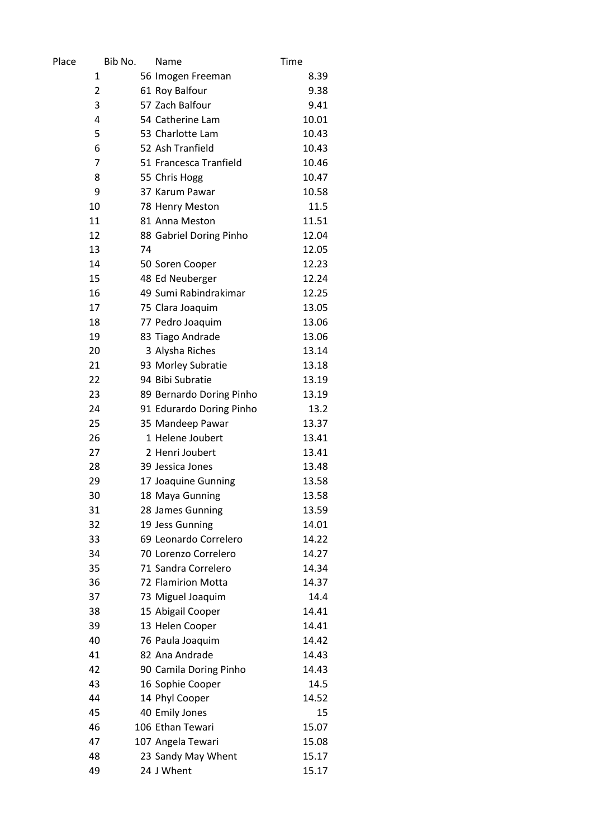| Place          | Bib No. | Name                               | Time  |
|----------------|---------|------------------------------------|-------|
| 1              |         | 56 Imogen Freeman                  | 8.39  |
| $\overline{2}$ |         | 61 Roy Balfour                     | 9.38  |
| 3              |         | 57 Zach Balfour                    | 9.41  |
| 4              |         | 54 Catherine Lam                   | 10.01 |
| 5              |         | 53 Charlotte Lam                   | 10.43 |
| 6              |         | 52 Ash Tranfield                   | 10.43 |
| 7              |         | 51 Francesca Tranfield             | 10.46 |
| 8              |         | 55 Chris Hogg                      | 10.47 |
| 9              |         | 37 Karum Pawar                     | 10.58 |
| 10             |         | 78 Henry Meston                    | 11.5  |
| 11             |         | 81 Anna Meston                     | 11.51 |
| 12             |         | 88 Gabriel Doring Pinho            | 12.04 |
| 13             | 74      |                                    | 12.05 |
| 14             |         | 50 Soren Cooper                    | 12.23 |
| 15             |         | 48 Ed Neuberger                    | 12.24 |
| 16             |         | 49 Sumi Rabindrakimar              | 12.25 |
| 17             |         | 75 Clara Joaquim                   | 13.05 |
| 18             |         | 77 Pedro Joaquim                   | 13.06 |
| 19             |         | 83 Tiago Andrade                   | 13.06 |
| 20             |         | 3 Alysha Riches                    | 13.14 |
| 21             |         | 93 Morley Subratie                 | 13.18 |
| 22             |         | 94 Bibi Subratie                   | 13.19 |
| 23             |         | 89 Bernardo Doring Pinho           | 13.19 |
| 24             |         | 91 Edurardo Doring Pinho           | 13.2  |
| 25             |         | 35 Mandeep Pawar                   | 13.37 |
| 26             |         | 1 Helene Joubert                   | 13.41 |
| 27             |         | 2 Henri Joubert                    | 13.41 |
| 28             |         | 39 Jessica Jones                   | 13.48 |
| 29             |         | 17 Joaquine Gunning                | 13.58 |
| 30             |         | 18 Maya Gunning                    | 13.58 |
| 31             |         | 28 James Gunning                   | 13.59 |
| 32             |         | 19 Jess Gunning                    | 14.01 |
| 33             |         | 69 Leonardo Correlero              | 14.22 |
| 34             |         | 70 Lorenzo Correlero               | 14.27 |
| 35             |         | 71 Sandra Correlero                | 14.34 |
| 36             |         | 72 Flamirion Motta                 | 14.37 |
| 37             |         | 73 Miguel Joaquim                  | 14.4  |
| 38             |         | 15 Abigail Cooper                  | 14.41 |
| 39             |         | 13 Helen Cooper                    | 14.41 |
| 40             |         | 76 Paula Joaquim                   | 14.42 |
| 41             |         | 82 Ana Andrade                     | 14.43 |
| 42             |         | 90 Camila Doring Pinho             | 14.43 |
| 43             |         | 16 Sophie Cooper                   | 14.5  |
| 44             |         | 14 Phyl Cooper                     | 14.52 |
| 45             |         |                                    | 15    |
| 46             |         | 40 Emily Jones<br>106 Ethan Tewari |       |
| 47             |         |                                    | 15.07 |
|                |         | 107 Angela Tewari                  | 15.08 |
| 48             |         | 23 Sandy May Whent                 | 15.17 |
| 49             |         | 24 J Whent                         | 15.17 |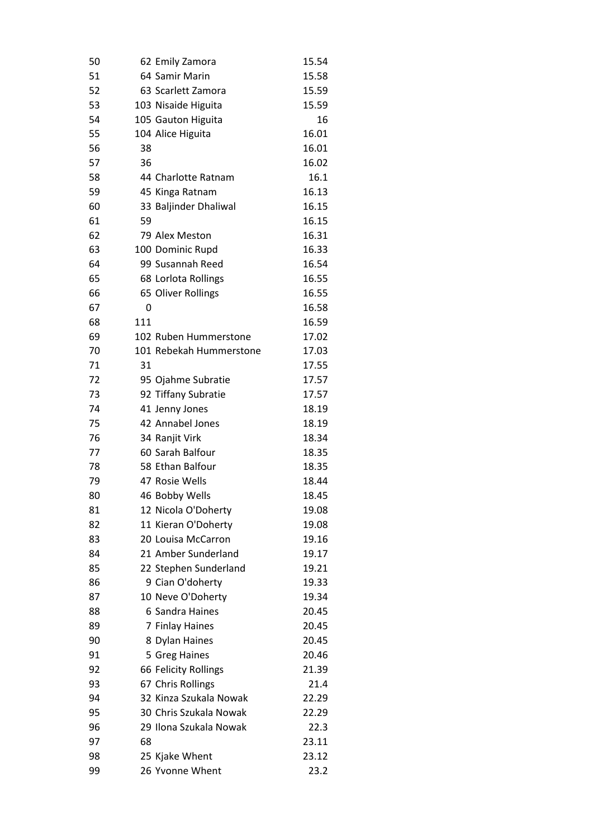| 50       |     | 62 Emily Zamora                           | 15.54          |
|----------|-----|-------------------------------------------|----------------|
| 51       |     | 64 Samir Marin                            | 15.58          |
| 52       |     | 63 Scarlett Zamora                        | 15.59          |
| 53       |     | 103 Nisaide Higuita                       | 15.59          |
| 54       |     | 105 Gauton Higuita                        | 16             |
| 55       |     | 104 Alice Higuita                         | 16.01          |
| 56       | 38  |                                           | 16.01          |
| 57       | 36  |                                           | 16.02          |
| 58       |     | 44 Charlotte Ratnam                       | 16.1           |
| 59       |     | 45 Kinga Ratnam                           | 16.13          |
| 60       |     | 33 Baljinder Dhaliwal                     | 16.15          |
| 61       | 59  |                                           | 16.15          |
| 62       |     | 79 Alex Meston                            | 16.31          |
| 63       |     | 100 Dominic Rupd                          | 16.33          |
| 64       |     | 99 Susannah Reed                          | 16.54          |
| 65       |     | 68 Lorlota Rollings                       | 16.55          |
| 66       |     | 65 Oliver Rollings                        | 16.55          |
| 67       | 0   |                                           | 16.58          |
| 68       | 111 |                                           | 16.59          |
| 69       |     | 102 Ruben Hummerstone                     | 17.02          |
| 70       |     | 101 Rebekah Hummerstone                   | 17.03          |
| 71       | 31  |                                           | 17.55          |
| 72       |     | 95 Ojahme Subratie                        | 17.57          |
| 73       |     | 92 Tiffany Subratie                       | 17.57          |
| 74       |     | 41 Jenny Jones                            | 18.19          |
| 75       |     | 42 Annabel Jones                          | 18.19          |
| 76       |     | 34 Ranjit Virk                            | 18.34          |
| 77       |     | 60 Sarah Balfour                          | 18.35          |
| 78       |     | 58 Ethan Balfour                          | 18.35          |
| 79       |     | 47 Rosie Wells                            | 18.44          |
| 80       |     | 46 Bobby Wells                            | 18.45          |
|          |     |                                           |                |
| 81<br>82 |     | 12 Nicola O'Doherty                       | 19.08<br>19.08 |
|          |     | 11 Kieran O'Doherty<br>20 Louisa McCarron |                |
| 83       |     |                                           | 19.16          |
| 84       |     | 21 Amber Sunderland                       | 19.17          |
| 85       |     | 22 Stephen Sunderland                     | 19.21          |
| 86       |     | 9 Cian O'doherty                          | 19.33          |
| 87       |     | 10 Neve O'Doherty                         | 19.34          |
| 88       |     | 6 Sandra Haines                           | 20.45          |
| 89       |     | 7 Finlay Haines                           | 20.45          |
| 90       |     | 8 Dylan Haines                            | 20.45          |
| 91       |     | 5 Greg Haines                             | 20.46          |
| 92       |     | 66 Felicity Rollings                      | 21.39          |
| 93       |     | 67 Chris Rollings                         | 21.4           |
| 94       |     | 32 Kinza Szukala Nowak                    | 22.29          |
| 95       |     | 30 Chris Szukala Nowak                    | 22.29          |
| 96       |     | 29 Ilona Szukala Nowak                    | 22.3           |
| 97       | 68  |                                           | 23.11          |
| 98       |     | 25 Kjake Whent                            | 23.12          |
| 99       |     | 26 Yvonne Whent                           | 23.2           |